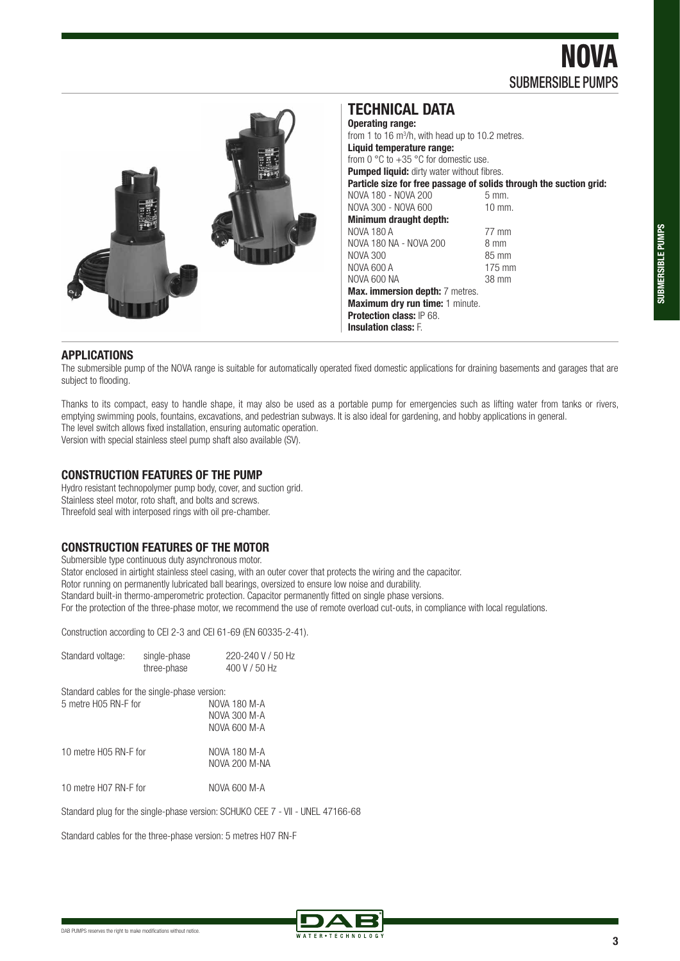NOVA SUBMERSIBLE PUMPS



#### **TECHNICAL DATA Operating range:**  from 1 to 16  $\mathrm{m}^3$ /h, with head up to 10.2 metres. **Liquid temperature range:**  from 0 °C to +35 °C for domestic use. **Pumped liquid:** dirty water without fibres. **Particle size for free passage of solids through the suction grid:** NOVA 180 - NOVA 200 5 mm. NOVA 180 - NOVA 200 NOVA 300 - NOVA 600 10 mm. **Minimum draught depth:**  NOVA 180 A<br>NOVA 180 NA - NOVA 200 8 mm NOVA 180 NA - NOVA 200 NOVA 300<br>NOVA 600 A 85 mm NOVA 600 A 175 mm<br>NOVA 600 NA 38 mm NOVA 600 NA **Max. immersion depth:** 7 metres. **Maximum dry run time:** 1 minute. **Protection class:** IP 68. **Insulation class:** F.

#### **APPLICATIONS**

The submersible pump of the NOVA range is suitable for automatically operated fixed domestic applications for draining basements and garages that are subject to flooding.

Thanks to its compact, easy to handle shape, it may also be used as a portable pump for emergencies such as lifting water from tanks or rivers, emptying swimming pools, fountains, excavations, and pedestrian subways. It is also ideal for gardening, and hobby applications in general. The level switch allows fixed installation, ensuring automatic operation.

Version with special stainless steel pump shaft also available (SV).

#### **CONSTRUCTION FEATURES OF THE PUMP**

Hydro resistant technopolymer pump body, cover, and suction grid. Stainless steel motor, roto shaft, and bolts and screws. Threefold seal with interposed rings with oil pre-chamber.

#### **CONSTRUCTION FEATURES OF THE MOTOR**

Submersible type continuous duty asynchronous motor. Stator enclosed in airtight stainless steel casing, with an outer cover that protects the wiring and the capacitor. Rotor running on permanently lubricated ball bearings, oversized to ensure low noise and durability. Standard built-in thermo-amperometric protection. Capacitor permanently fitted on single phase versions. For the protection of the three-phase motor, we recommend the use of remote overload cut-outs, in compliance with local regulations.

Construction according to CEI 2-3 and CEI 61-69 (EN 60335-2-41).

| Standard voltage:                             | single-phase<br>three-phase | 220-240 V / 50 Hz<br>400 V / 50 Hz                               |
|-----------------------------------------------|-----------------------------|------------------------------------------------------------------|
| Standard cables for the single-phase version: |                             |                                                                  |
| 5 metre H05 RN-F for                          |                             | NOVA 180 M-A                                                     |
|                                               |                             | NOVA 300 M-A                                                     |
|                                               |                             | NOVA 600 M-A                                                     |
| 10 metre H05 RN-F for                         |                             | NOVA 180 M-A                                                     |
|                                               |                             | NOVA 200 M-NA                                                    |
| 10 metre H07 RN-F for                         |                             | NOVA 600 M-A                                                     |
|                                               |                             | Standard plug for the single-phase version: SCHUKO CEE 7 - VII - |
|                                               |                             |                                                                  |

Standard cables for the three-phase version: 5 metres H07 RN-F



UNEL 47166-68

**3**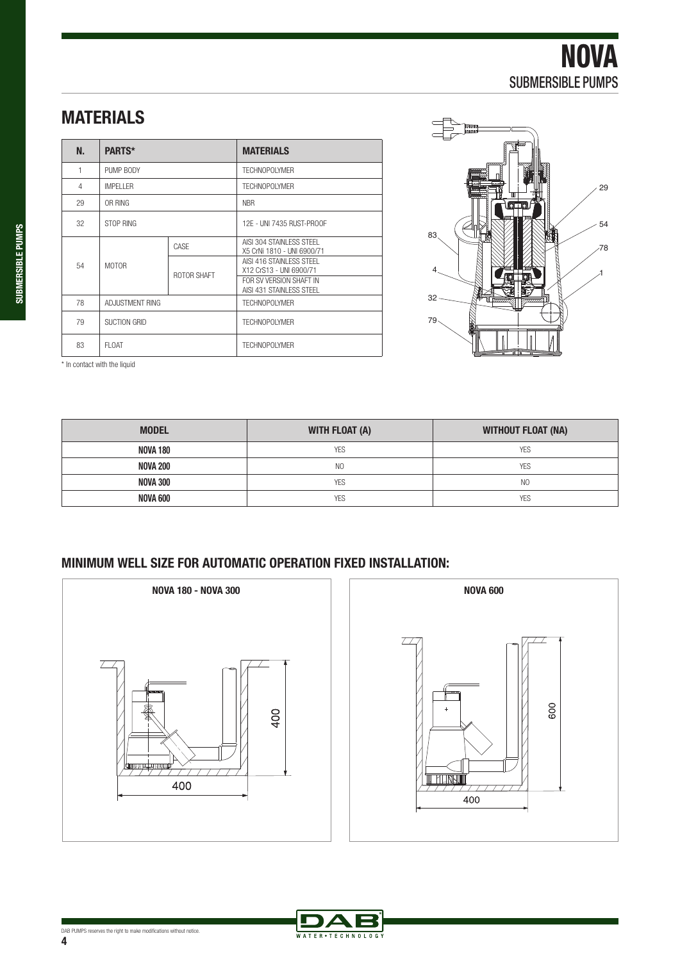# **MATERIALS**

| N.             | <b>PARTS*</b>     |             | <b>MATERIALS</b>                                       |
|----------------|-------------------|-------------|--------------------------------------------------------|
| 1              | PUMP BODY         |             | TFCHNOPOI YMFR                                         |
| $\overline{4}$ | <b>IMPFI I FR</b> |             | TFCHNOPOI YMFR                                         |
| 29             | OR RING           |             | <b>NBR</b>                                             |
| 32             | STOP RING         |             | 12F - UNI 7435 RUST-PROOF                              |
|                |                   | CASE        | AISI 304 STAINLESS STEEL<br>X5 CrNi 1810 - UNI 6900/71 |
| 54             | <b>MOTOR</b>      | ROTOR SHAFT | AISI 416 STAINLESS STEEL<br>X12 CrS13 - UNI 6900/71    |
|                |                   |             | FOR SV VERSION SHAFT IN<br>AISI 431 STAINLESS STEEL    |
| 78             | ADJUSTMENT RING   |             | TFCHNOPOI YMFR                                         |
| 79             | SUCTION GRID      |             | <b>TECHNOPOLYMER</b>                                   |
| 83             | FI OAT            |             | TFCHNOPOI YMFR                                         |



600

\* In contact with the liquid

| <b>MODEL</b>    | WITH FLOAT (A) | <b>WITHOUT FLOAT (NA)</b> |
|-----------------|----------------|---------------------------|
| <b>NOVA 180</b> | <b>YES</b>     | <b>YES</b>                |
| <b>NOVA 200</b> | N <sub>O</sub> | <b>YES</b>                |
| NOVA 300        | <b>YES</b>     | N <sub>0</sub>            |
| NOVA 600        | <b>YES</b>     | <b>YES</b>                |

### **MINIMUM WELL SIZE FOR AUTOMATIC OPERATION FIXED INSTALLATION:**





**4**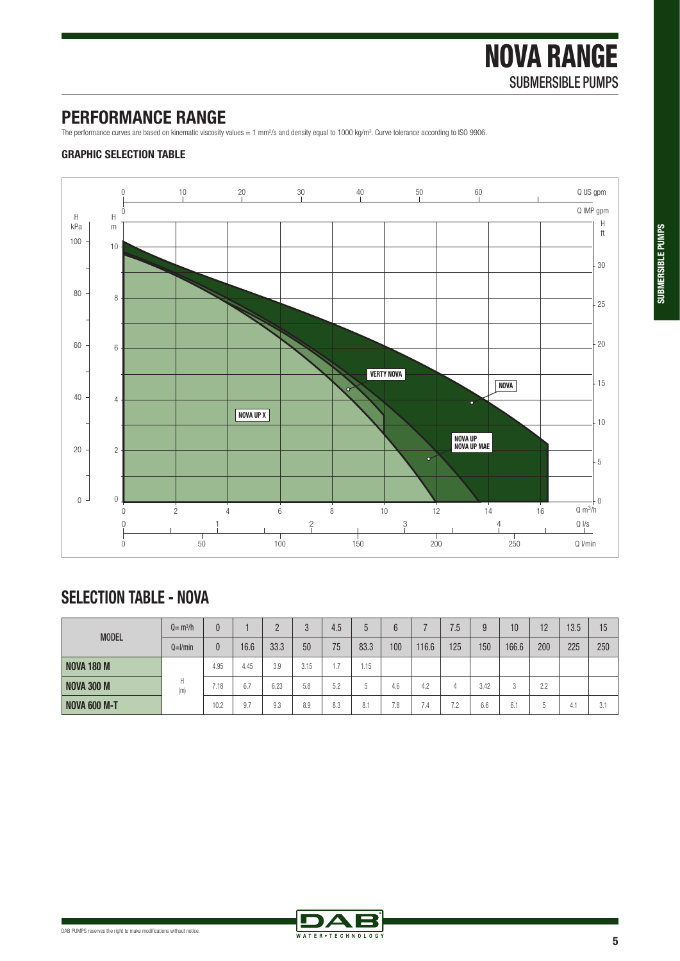## **PERFORMANCE RANGE**

The performance curves are based on kinematic viscosity values = 1 mm<sup>2</sup>/s and density equal to 1000 kg/m<sup>3</sup>. Curve tolerance according to ISO 9906.

### **GRAPHIC SELECTION TABLE**



# **SELECTION TABLE - NOVA**

| <b>MODEL</b>        | $Q = m^3/h$  |      |      |      |      | 4.5 |        | $\sim$ |       | 7.5                            | 9    | 10    | 12      | 13.5 | 15  |
|---------------------|--------------|------|------|------|------|-----|--------|--------|-------|--------------------------------|------|-------|---------|------|-----|
|                     | $Q=$ $l/min$ | 0    | 16.6 | 33.3 | 50   | 75  | 83.3   | 100    | 116.6 | 125                            | 150  | 166.6 | 200     | 225  | 250 |
| <b>NOVA 180 M</b>   |              | 4.95 | 4.45 | 3.9  | 3.15 |     | 1.15   |        |       |                                |      |       |         |      |     |
| <b>NOVA 300 M</b>   | Н<br>(m)     | 7.18 | 6.7  | 6.23 | 5.8  | 5.2 | $\sim$ | 4.6    | 4.2   |                                | 3.42 | 3     | 2.2     |      |     |
| <b>NOVA 600 M-T</b> |              | 10.2 | 9.7  | 9.3  | 8.9  | 8.3 | 8.1    | 7.8    | 7.4   | 70<br>$\overline{\phantom{a}}$ | 6.6  | 6.1   | n<br>J. | 4.1  | 3.1 |

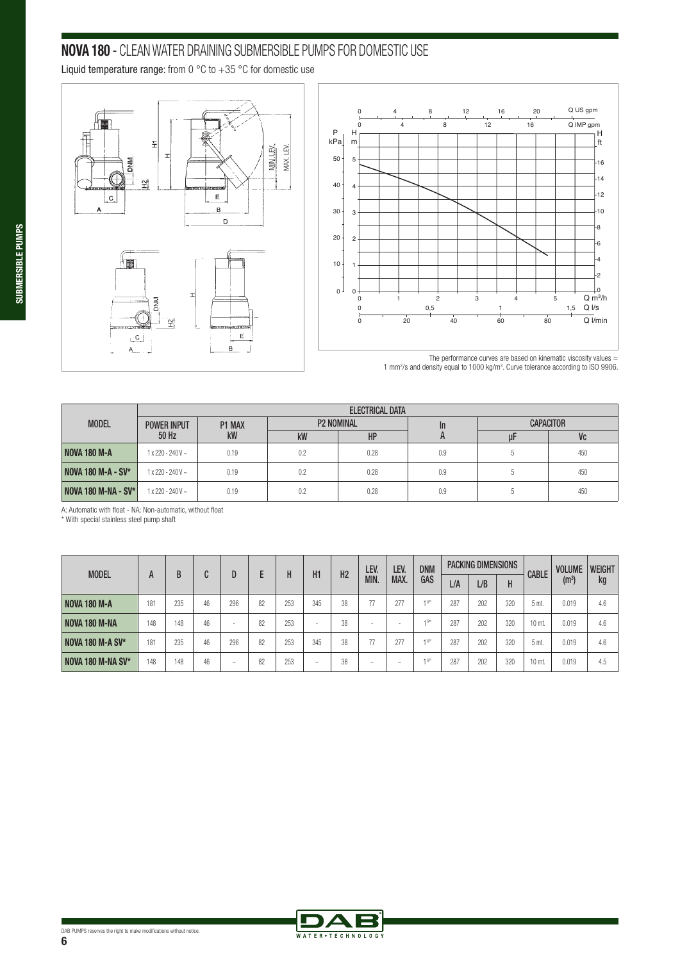## **NOVA 180** - CLEAN WATER DRAINING SUBMERSIBLE PUMPS FOR DOMESTIC USE

Liquid temperature range: from 0  $^{\circ}$ C to  $+35$   $^{\circ}$ C for domestic use





The performance curves are based on kinematic viscosity values  $=$ 1 mm2 /s and density equal to 1000 kg/m3 . Curve tolerance according to ISO 9906.

|                            |                         |           |                   | ELECTRICAL DATA |     |    |                  |
|----------------------------|-------------------------|-----------|-------------------|-----------------|-----|----|------------------|
| <b>MODEL</b>               | <b>POWER INPUT</b>      | P1 MAX    | <b>P2 NOMINAL</b> |                 | In  |    | <b>CAPACITOR</b> |
|                            | 50 Hz                   | <b>kW</b> | kW                | HP              |     | uŀ | Vc               |
| <b>NOVA 180 M-A</b>        | $1x220 - 240V$ ~        | 0.19      | 0.2               | 0.28            | 0.9 |    | 450              |
| <b>NOVA 180 M-A - SV*</b>  | $1x220 - 240V$ ~        | 0.19      | 0.2               | 0.28            | 0.9 |    | 450              |
| <b>NOVA 180 M-NA - SV*</b> | $1 \times 220 - 240V$ ~ | 0.19      | 0.2               | 0.28            | 0.9 |    | 450              |

A: Automatic with float - NA: Non-automatic, without float

\* With special stainless steel pump shaft

| <b>MODEL</b>        |     |     | n  |                          |    |     |                          |                | LEV.                     | LEV. | <b>DNM</b>          |     | PACKING DIMENSIONS |     |              | <b>VOLUME</b>    | <b>WEIGHT</b> |
|---------------------|-----|-----|----|--------------------------|----|-----|--------------------------|----------------|--------------------------|------|---------------------|-----|--------------------|-----|--------------|------------------|---------------|
|                     | A   | B   | U  |                          |    | H   | H1                       | H <sub>2</sub> | MIN.                     | MAX. | GAS                 | L/A | L/B                | H   | <b>CABLE</b> | $(\mathsf{m}^3)$ | kg            |
| <b>NOVA 180 M-A</b> | 181 | 235 | 46 | 296                      | 82 | 253 | 345                      | 38             | 77                       | 277  | $+341$              | 287 | 202                | 320 | 5 mt.        | 0.019            | 4.6           |
| NOVA 180 M-NA       | 148 | 148 | 46 | $\overline{\phantom{a}}$ | 82 | 253 | $\overline{\phantom{a}}$ | 38             | $\sim$                   |      | $1\%$ <sup>11</sup> | 287 | 202                | 320 | 10 mt.       | 0.019            | 4.6           |
| NOVA 180 M-A SV*    | 181 | 235 | 46 | 296                      | 82 | 253 | 345                      | 38             | 77                       | 277  | $1\%$ <sup>11</sup> | 287 | 202                | 320 | 5 mt.        | 0.019            | 4.6           |
| NOVA 180 M-NA SV*   | 148 | 148 | 46 | -                        | 82 | 253 | -                        | 38             | $\overline{\phantom{0}}$ | -    | $+340$              | 287 | 202                | 320 | 10 mt.       | 0.019            | 4.5           |

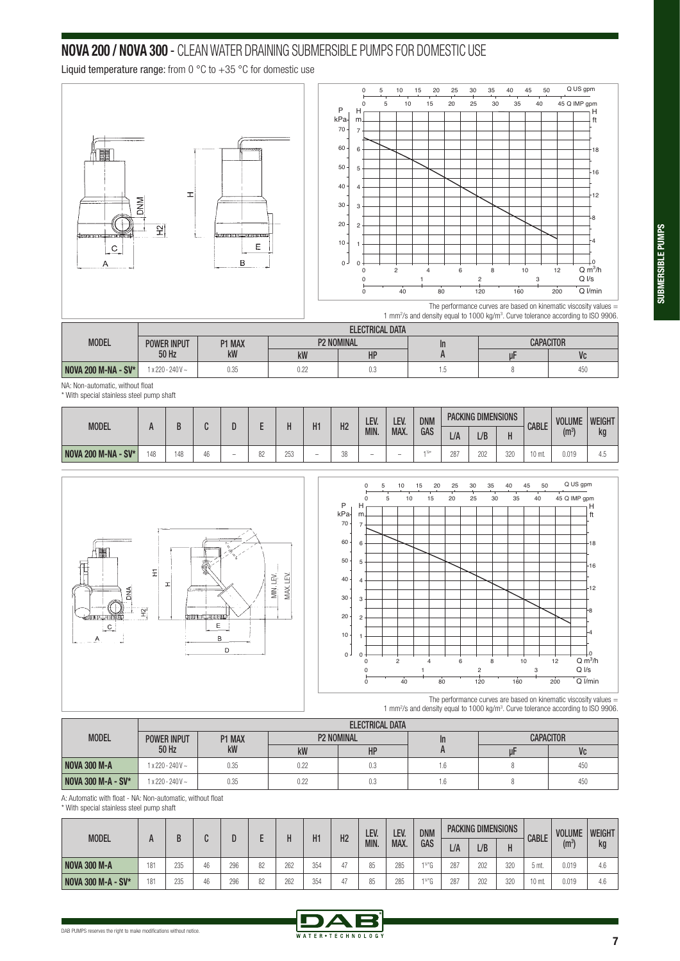### **NOVA 200 / NOVA 300** - CLEAN WATER DRAINING SUBMERSIBLE PUMPS FOR DOMESTIC USE

Liquid temperature range: from 0  $^{\circ}$ C to  $+35$   $^{\circ}$ C for domestic use



|                            |                    |        |      | <b>ELECTRICAL DATA</b> |         |                  |     |  |
|----------------------------|--------------------|--------|------|------------------------|---------|------------------|-----|--|
| <b>MODEL</b>               | <b>POWER INPUT</b> | P1 MAX |      | <b>P2 NOMINAL</b>      | $\ln$   | <b>CAPACITOR</b> |     |  |
|                            | 50 Hz              | kW     | kW   | HP                     |         |                  | Vc  |  |
| <b>NOVA 200 M-NA - SV*</b> | $1 x 220 - 240V ~$ | 0.35   | 0.22 | v.v                    | $\cdot$ |                  | 450 |  |

NA: Non-automatic, without float

\* With special stainless steel pump shaft

| MODEL                      |       |     |    |                          |         |      | H1  | H <sub>2</sub> | LEV.                     | LEV                      | <b>DNM</b> |                   | <b>PACKING DIMENSIONS</b> |     | <b>CABLE</b> | <b>VOLUME</b> | <b>WEIGHT</b> |
|----------------------------|-------|-----|----|--------------------------|---------|------|-----|----------------|--------------------------|--------------------------|------------|-------------------|---------------------------|-----|--------------|---------------|---------------|
|                            | <br>Л |     |    |                          | MIN.    | MAX. | GAS | L/A            | L/B                      |                          |            | (m <sup>3</sup> ) | kg                        |     |              |               |               |
| <b>NOVA 200 M-NA - SV*</b> | 48    | 148 | 46 | $\overline{\phantom{a}}$ | n<br>OΖ | 253  | -   | vv             | $\overline{\phantom{0}}$ | $\overline{\phantom{0}}$ |            | 287               | 202                       | 320 | $10$ mt.     | 0.019         | -4.0          |





The performance curves are based on kinematic viscosity values  $=$ 1 mm2 /s and density equal to 1000 kg/m3 . Curve tolerance according to ISO 9906.

|                           |                         |        |                   | ELECTRICAL DATA |    |    |                  |
|---------------------------|-------------------------|--------|-------------------|-----------------|----|----|------------------|
| <b>MODEL</b>              | <b>POWER INPUT</b>      | P1 MAX | <b>P2 NOMINAL</b> |                 | In |    | <b>CAPACITOR</b> |
|                           | 50 Hz                   | kW     | kW                | HP              |    | uŀ | Vc               |
| <b>NOVA 300 M-A</b>       | $1 \times 220 - 240V$ ~ | 0.35   | 0.22              | 0.3             | .6 |    | 450              |
| <b>NOVA 300 M-A - SV*</b> | $1 \times 220 - 240V$ ~ | 0.35   | 0.22              | 0.3             | .6 |    | 450              |

A: Automatic with float - NA: Non-automatic, without float

\* With special stainless steel pump shaft

| <b>MODEL</b>              |     |     |    |     |    |     | H1  | H <sub>2</sub> | LEV. | LEV. | <b>DNM</b>           |     | <b>PACKING DIMENSIONS</b> |     | <b>CABLE</b> | <b>VOLUME</b> | <b>WEIGHT</b> |
|---------------------------|-----|-----|----|-----|----|-----|-----|----------------|------|------|----------------------|-----|---------------------------|-----|--------------|---------------|---------------|
|                           |     |     |    |     |    |     |     |                | MIN. | MAX. | GAS                  | L/A | L/B                       | Н   |              | $(m^3)$       | kg            |
| <b>NOVA 300 M-A</b>       | 181 | 235 | 46 | 296 | 82 | 262 | 354 | 47             |      | 285  | $1\%$ <sup>n</sup> C | 287 | 202                       | 320 | .5 mt.       | 0.019         | 4.6           |
| <b>NOVA 300 M-A - SV*</b> | 181 | 235 | 46 | 296 | 82 | 262 | 354 |                |      | 285  | $\sqrt{2}$           | 287 | 202                       | 320 | 10 mt.       | 0.019         | 4.6           |